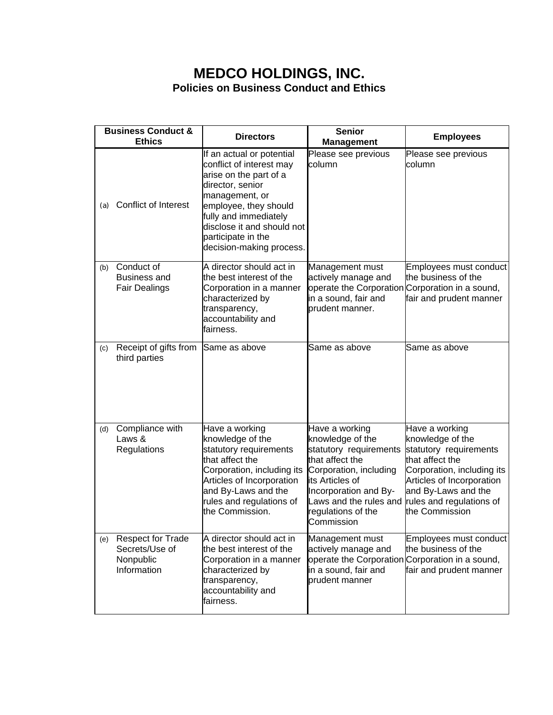## **MEDCO HOLDINGS, INC. Policies on Business Conduct and Ethics**

| <b>Business Conduct &amp;</b><br><b>Ethics</b> |                                                                        | <b>Directors</b>                                                                                                                                                                                                                                        | <b>Senior</b><br><b>Management</b>                                                                                                                                                                                  | <b>Employees</b>                                                                                                                                                                                                |
|------------------------------------------------|------------------------------------------------------------------------|---------------------------------------------------------------------------------------------------------------------------------------------------------------------------------------------------------------------------------------------------------|---------------------------------------------------------------------------------------------------------------------------------------------------------------------------------------------------------------------|-----------------------------------------------------------------------------------------------------------------------------------------------------------------------------------------------------------------|
| (a)                                            | Conflict of Interest                                                   | If an actual or potential<br>conflict of interest may<br>arise on the part of a<br>director, senior<br>management, or<br>employee, they should<br>fully and immediately<br>disclose it and should not<br>participate in the<br>decision-making process. | Please see previous<br>column                                                                                                                                                                                       | Please see previous<br>column                                                                                                                                                                                   |
| (b)                                            | Conduct of<br><b>Business and</b><br><b>Fair Dealings</b>              | A director should act in<br>the best interest of the<br>Corporation in a manner<br>characterized by<br>transparency,<br>accountability and<br>fairness.                                                                                                 | Management must<br>actively manage and<br>in a sound, fair and<br>prudent manner.                                                                                                                                   | Employees must conduct<br>the business of the<br>operate the Corporation Corporation in a sound,<br>fair and prudent manner                                                                                     |
| (c)                                            | Receipt of gifts from<br>third parties                                 | Same as above                                                                                                                                                                                                                                           | Same as above                                                                                                                                                                                                       | Same as above                                                                                                                                                                                                   |
| (d)                                            | Compliance with<br>Laws &<br>Regulations                               | Have a working<br>knowledge of the<br>statutory requirements<br>that affect the<br>Corporation, including its<br>Articles of Incorporation<br>and By-Laws and the<br>rules and regulations of<br>the Commission.                                        | Have a working<br>knowledge of the<br>statutory requirements<br>that affect the<br>Corporation, including<br>its Articles of<br>Incorporation and By-<br>Laws and the rules and<br>regulations of the<br>Commission | Have a working<br>knowledge of the<br>statutory requirements<br>that affect the<br>Corporation, including its<br>Articles of Incorporation<br>and By-Laws and the<br>rules and regulations of<br>the Commission |
| (e)                                            | <b>Respect for Trade</b><br>Secrets/Use of<br>Nonpublic<br>Information | A director should act in<br>the best interest of the<br>Corporation in a manner<br>characterized by<br>transparency,<br>accountability and<br>fairness.                                                                                                 | Management must<br>actively manage and<br>in a sound, fair and<br>prudent manner                                                                                                                                    | Employees must conduct<br>the business of the<br>operate the Corporation Corporation in a sound,<br>fair and prudent manner                                                                                     |